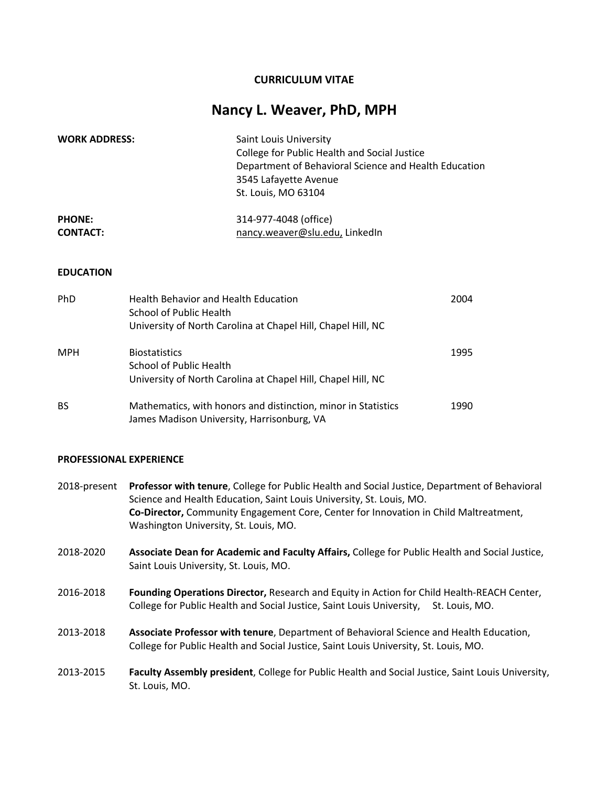## **CURRICULUM VITAE**

# **Nancy L. Weaver, PhD, MPH**

| <b>WORK ADDRESS:</b> | Saint Louis University<br>College for Public Health and Social Justice<br>Department of Behavioral Science and Health Education<br>3545 Lafayette Avenue<br>St. Louis, MO 63104 |
|----------------------|---------------------------------------------------------------------------------------------------------------------------------------------------------------------------------|
| <b>PHONE:</b>        | 314-977-4048 (office)                                                                                                                                                           |
| <b>CONTACT:</b>      | nancy.weaver@slu.edu, LinkedIn                                                                                                                                                  |

#### **EDUCATION**

| <b>PhD</b> | <b>Health Behavior and Health Education</b><br>School of Public Health<br>University of North Carolina at Chapel Hill, Chapel Hill, NC | 2004 |
|------------|----------------------------------------------------------------------------------------------------------------------------------------|------|
| <b>MPH</b> | <b>Biostatistics</b><br>School of Public Health<br>University of North Carolina at Chapel Hill, Chapel Hill, NC                        | 1995 |
| <b>BS</b>  | Mathematics, with honors and distinction, minor in Statistics<br>James Madison University, Harrisonburg, VA                            | 1990 |

#### **PROFESSIONAL EXPERIENCE**

- 2018-present **Professor with tenure**, College for Public Health and Social Justice, Department of Behavioral Science and Health Education, Saint Louis University, St. Louis, MO. **Co-Director,** Community Engagement Core, Center for Innovation in Child Maltreatment, Washington University, St. Louis, MO.
- 2018-2020 **Associate Dean for Academic and Faculty Affairs,** College for Public Health and Social Justice, Saint Louis University, St. Louis, MO.
- 2016-2018 **Founding Operations Director,** Research and Equity in Action for Child Health-REACH Center, College for Public Health and Social Justice, Saint Louis University, St. Louis, MO.
- 2013-2018 **Associate Professor with tenure**, Department of Behavioral Science and Health Education, College for Public Health and Social Justice, Saint Louis University, St. Louis, MO.
- 2013-2015 **Faculty Assembly president**, College for Public Health and Social Justice, Saint Louis University, St. Louis, MO.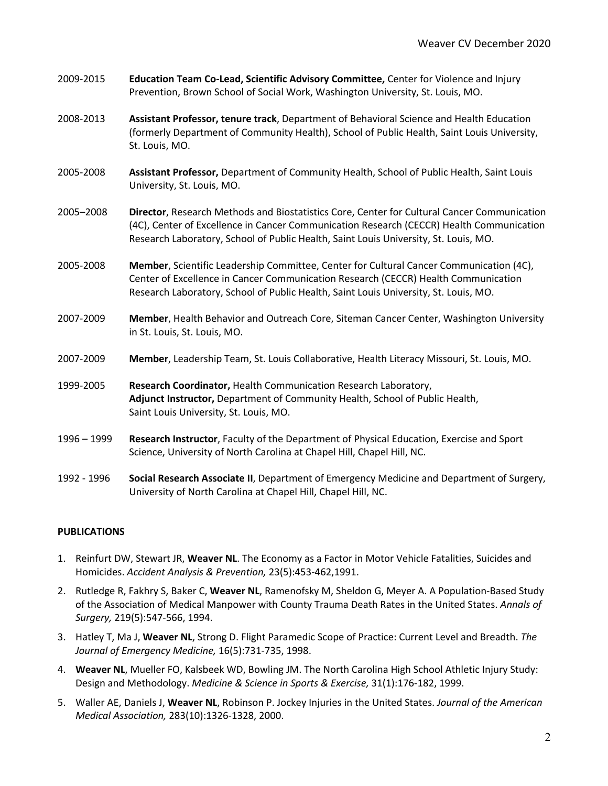| 2009-2015 | Education Team Co-Lead, Scientific Advisory Committee, Center for Violence and Injury |
|-----------|---------------------------------------------------------------------------------------|
|           | Prevention, Brown School of Social Work, Washington University, St. Louis, MO.        |

- 2008-2013 **Assistant Professor, tenure track**, Department of Behavioral Science and Health Education (formerly Department of Community Health), School of Public Health, Saint Louis University, St. Louis, MO.
- 2005-2008 **Assistant Professor,** Department of Community Health, School of Public Health, Saint Louis University, St. Louis, MO.
- 2005–2008 **Director**, Research Methods and Biostatistics Core, Center for Cultural Cancer Communication (4C), Center of Excellence in Cancer Communication Research (CECCR) Health Communication Research Laboratory, School of Public Health, Saint Louis University, St. Louis, MO.
- 2005-2008 **Member**, Scientific Leadership Committee, Center for Cultural Cancer Communication (4C), Center of Excellence in Cancer Communication Research (CECCR) Health Communication Research Laboratory, School of Public Health, Saint Louis University, St. Louis, MO.
- 2007-2009 **Member**, Health Behavior and Outreach Core, Siteman Cancer Center, Washington University in St. Louis, St. Louis, MO.
- 2007-2009 **Member**, Leadership Team, St. Louis Collaborative, Health Literacy Missouri, St. Louis, MO.
- 1999-2005 **Research Coordinator,** Health Communication Research Laboratory, **Adjunct Instructor,** Department of Community Health, School of Public Health, Saint Louis University, St. Louis, MO.
- 1996 1999 **Research Instructor**, Faculty of the Department of Physical Education, Exercise and Sport Science, University of North Carolina at Chapel Hill, Chapel Hill, NC.
- 1992 1996 **Social Research Associate II**, Department of Emergency Medicine and Department of Surgery, University of North Carolina at Chapel Hill, Chapel Hill, NC.

## **PUBLICATIONS**

- 1. Reinfurt DW, Stewart JR, **Weaver NL**. The Economy as a Factor in Motor Vehicle Fatalities, Suicides and Homicides. *Accident Analysis & Prevention,* 23(5):453-462,1991.
- 2. Rutledge R, Fakhry S, Baker C, **Weaver NL**, Ramenofsky M, Sheldon G, Meyer A. A Population-Based Study of the Association of Medical Manpower with County Trauma Death Rates in the United States. *Annals of Surgery,* 219(5):547-566, 1994.
- 3. Hatley T, Ma J, **Weaver NL**, Strong D. Flight Paramedic Scope of Practice: Current Level and Breadth. *The Journal of Emergency Medicine,* 16(5):731-735, 1998.
- 4. **Weaver NL**, Mueller FO, Kalsbeek WD, Bowling JM. The North Carolina High School Athletic Injury Study: Design and Methodology. *Medicine & Science in Sports & Exercise,* 31(1):176-182, 1999.
- 5. Waller AE, Daniels J, **Weaver NL**, Robinson P. Jockey Injuries in the United States. *Journal of the American Medical Association,* 283(10):1326-1328, 2000.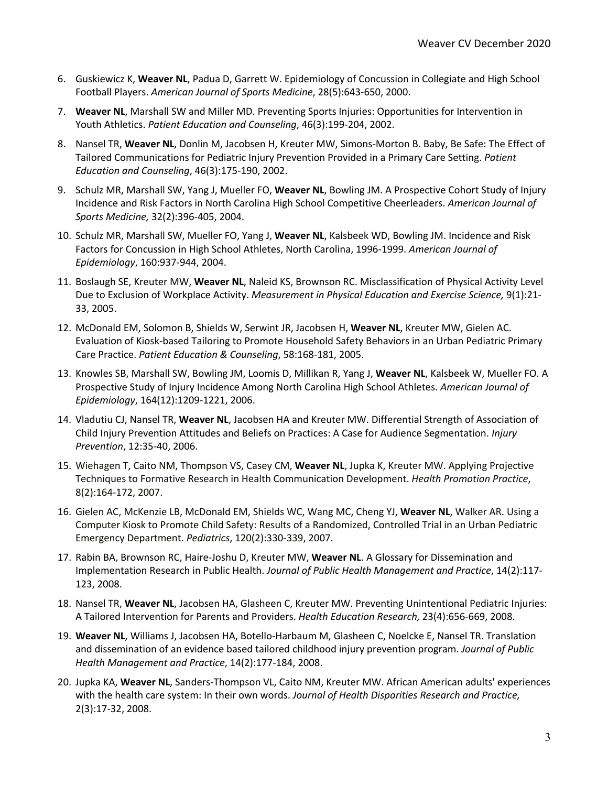- 6. Guskiewicz K, **Weaver NL**, Padua D, Garrett W. Epidemiology of Concussion in Collegiate and High School Football Players. *American Journal of Sports Medicine*, 28(5):643-650, 2000.
- 7. **Weaver NL**, Marshall SW and Miller MD. Preventing Sports Injuries: Opportunities for Intervention in Youth Athletics. *Patient Education and Counseling*, 46(3):199-204, 2002.
- 8. Nansel TR, **Weaver NL**, Donlin M, Jacobsen H, Kreuter MW, Simons-Morton B. Baby, Be Safe: The Effect of Tailored Communications for Pediatric Injury Prevention Provided in a Primary Care Setting. *Patient Education and Counseling*, 46(3):175-190, 2002.
- 9. Schulz MR, Marshall SW, Yang J, Mueller FO, **Weaver NL**, Bowling JM. A Prospective Cohort Study of Injury Incidence and Risk Factors in North Carolina High School Competitive Cheerleaders. *American Journal of Sports Medicine,* 32(2):396-405, 2004.
- 10. Schulz MR, Marshall SW, Mueller FO, Yang J, **Weaver NL**, Kalsbeek WD, Bowling JM. Incidence and Risk Factors for Concussion in High School Athletes, North Carolina, 1996-1999. *American Journal of Epidemiology*, 160:937-944, 2004.
- 11. Boslaugh SE, Kreuter MW, **Weaver NL**, Naleid KS, Brownson RC. Misclassification of Physical Activity Level Due to Exclusion of Workplace Activity. *Measurement in Physical Education and Exercise Science,* 9(1):21- 33, 2005.
- 12. McDonald EM, Solomon B, Shields W, Serwint JR, Jacobsen H, **Weaver NL**, Kreuter MW, Gielen AC. Evaluation of Kiosk-based Tailoring to Promote Household Safety Behaviors in an Urban Pediatric Primary Care Practice. *Patient Education & Counseling*, 58:168-181, 2005.
- 13. Knowles SB, Marshall SW, Bowling JM, Loomis D, Millikan R, Yang J, **Weaver NL**, Kalsbeek W, Mueller FO. A Prospective Study of Injury Incidence Among North Carolina High School Athletes. *American Journal of Epidemiology*, 164(12):1209-1221, 2006.
- 14. Vladutiu CJ, Nansel TR, **Weaver NL**, Jacobsen HA and Kreuter MW. Differential Strength of Association of Child Injury Prevention Attitudes and Beliefs on Practices: A Case for Audience Segmentation. *Injury Prevention*, 12:35-40, 2006.
- 15. Wiehagen T, Caito NM, Thompson VS, Casey CM, **Weaver NL**, Jupka K, Kreuter MW. Applying Projective Techniques to Formative Research in Health Communication Development. *Health Promotion Practice*, 8(2):164-172, 2007.
- 16. Gielen AC, McKenzie LB, McDonald EM, Shields WC, Wang MC, Cheng YJ, **Weaver NL**, Walker AR. Using a Computer Kiosk to Promote Child Safety: Results of a Randomized, Controlled Trial in an Urban Pediatric Emergency Department. *Pediatrics*, 120(2):330-339, 2007.
- 17. Rabin BA, Brownson RC, Haire-Joshu D, Kreuter MW, **Weaver NL**. A Glossary for Dissemination and Implementation Research in Public Health. *Journal of Public Health Management and Practice*, 14(2):117- 123, 2008.
- 18. Nansel TR, **Weaver NL**, Jacobsen HA, Glasheen C, Kreuter MW. Preventing Unintentional Pediatric Injuries: A Tailored Intervention for Parents and Providers. *Health Education Research,* 23(4):656-669, 2008.
- 19. **Weaver NL**, Williams J, Jacobsen HA, Botello-Harbaum M, Glasheen C, Noelcke E, Nansel TR. Translation and dissemination of an evidence based tailored childhood injury prevention program. *Journal of Public Health Management and Practice*, 14(2):177-184, 2008.
- 20. Jupka KA, **Weaver NL**, Sanders-Thompson VL, Caito NM, Kreuter MW. African American adults' experiences with the health care system: In their own words. *Journal of Health Disparities Research and Practice,* 2(3):17-32, 2008.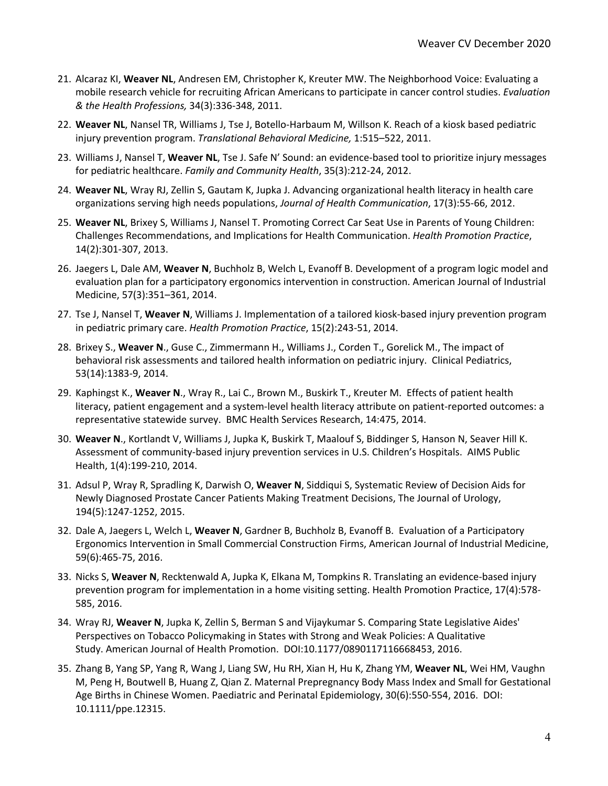- 21. Alcaraz KI, **Weaver NL**, Andresen EM, Christopher K, Kreuter MW. The Neighborhood Voice: Evaluating a mobile research vehicle for recruiting African Americans to participate in cancer control studies. *Evaluation & the Health Professions,* 34(3):336-348, 2011.
- 22. **Weaver NL**, Nansel TR, Williams J, Tse J, Botello-Harbaum M, Willson K. Reach of a kiosk based pediatric injury prevention program. *Translational Behavioral Medicine,* 1:515–522, 2011.
- 23. Williams J, Nansel T, **Weaver NL**, Tse J. Safe N' Sound: an evidence-based tool to prioritize injury messages for pediatric healthcare. *Family and Community Health*, 35(3):212-24, 2012.
- 24. **Weaver NL**, Wray RJ, Zellin S, Gautam K, Jupka J. Advancing organizational health literacy in health care organizations serving high needs populations, *Journal of Health Communication*, 17(3):55-66, 2012.
- 25. **Weaver NL**, Brixey S, Williams J, Nansel T. Promoting Correct Car Seat Use in Parents of Young Children: Challenges Recommendations, and Implications for Health Communication. *Health Promotion Practice*, 14(2):301-307, 2013.
- 26. Jaegers L, Dale AM, **Weaver N**, Buchholz B, Welch L, Evanoff B. Development of a program logic model and evaluation plan for a participatory ergonomics intervention in construction. American Journal of Industrial Medicine, 57(3):351–361, 2014.
- 27. Tse J, Nansel T, **Weaver N**, Williams J. Implementation of a tailored kiosk-based injury prevention program in pediatric primary care. *Health Promotion Practice*, 15(2):243-51, 2014.
- 28. Brixey S., **Weaver N**., Guse C., Zimmermann H., Williams J., Corden T., Gorelick M., The impact of behavioral risk assessments and tailored health information on pediatric injury. Clinical Pediatrics, 53(14):1383-9, 2014.
- 29. Kaphingst K., **Weaver N**., Wray R., Lai C., Brown M., Buskirk T., Kreuter M. Effects of patient health literacy, patient engagement and a system-level health literacy attribute on patient-reported outcomes: a representative statewide survey. BMC Health Services Research, 14:475, 2014.
- 30. **Weaver N**., Kortlandt V, Williams J, Jupka K, Buskirk T, Maalouf S, Biddinger S, Hanson N, Seaver Hill K. Assessment of community-based injury prevention services in U.S. Children's Hospitals. AIMS Public Health, 1(4):199-210, 2014.
- 31. Adsul P, Wray R, Spradling K, Darwish O, **Weaver N**, Siddiqui S, Systematic Review of Decision Aids for Newly Diagnosed Prostate Cancer Patients Making Treatment Decisions, The Journal of Urology, 194(5):1247-1252, 2015.
- 32. Dale A, Jaegers L, Welch L, **Weaver N**, Gardner B, Buchholz B, Evanoff B. Evaluation of a Participatory Ergonomics Intervention in Small Commercial Construction Firms, American Journal of Industrial Medicine, 59(6):465-75, 2016.
- 33. Nicks S, **Weaver N**, Recktenwald A, Jupka K, Elkana M, Tompkins R. Translating an evidence-based injury prevention program for implementation in a home visiting setting. Health Promotion Practice, 17(4):578- 585, 2016.
- 34. Wray RJ, **Weaver N**, Jupka K, Zellin S, Berman S and Vijaykumar S. Comparing State Legislative Aides' Perspectives on Tobacco Policymaking in States with Strong and Weak Policies: A Qualitative Study. American Journal of Health Promotion. DOI:10.1177/0890117116668453, 2016.
- 35. Zhang B, Yang SP, Yang R, Wang J, Liang SW, Hu RH, Xian H, Hu K, Zhang YM, **Weaver NL**, Wei HM, Vaughn M, Peng H, Boutwell B, Huang Z, Qian Z. Maternal Prepregnancy Body Mass Index and Small for Gestational Age Births in Chinese Women. Paediatric and Perinatal Epidemiology, 30(6):550-554, 2016. DOI: 10.1111/ppe.12315.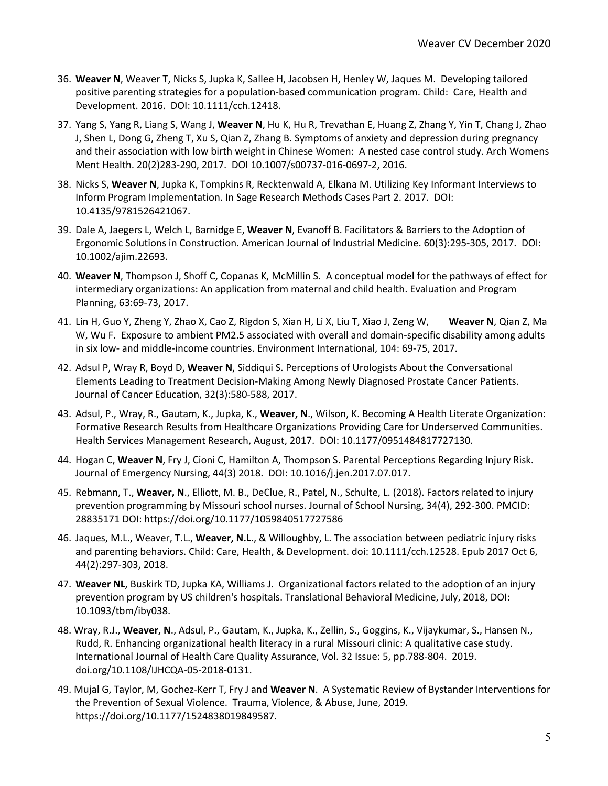- 36. **Weaver N**, Weaver T, Nicks S, Jupka K, Sallee H, Jacobsen H, Henley W, Jaques M. Developing tailored positive parenting strategies for a population-based communication program. Child: Care, Health and Development. 2016. DOI: 10.1111/cch.12418.
- 37. Yang S, Yang R, Liang S, Wang J, **Weaver N**, Hu K, Hu R, Trevathan E, Huang Z, Zhang Y, Yin T, Chang J, Zhao J, Shen L, Dong G, Zheng T, Xu S, Qian Z, Zhang B. Symptoms of anxiety and depression during pregnancy and their association with low birth weight in Chinese Women: A nested case control study. Arch Womens Ment Health. 20(2)283-290, 2017. DOI 10.1007/s00737-016-0697-2, 2016.
- 38. Nicks S, **Weaver N**, Jupka K, Tompkins R, Recktenwald A, Elkana M. Utilizing Key Informant Interviews to Inform Program Implementation. In Sage Research Methods Cases Part 2. 2017. DOI: 10.4135/9781526421067.
- 39. Dale A, Jaegers L, Welch L, Barnidge E, **Weaver N**, Evanoff B. Facilitators & Barriers to the Adoption of Ergonomic Solutions in Construction. American Journal of Industrial Medicine. 60(3):295-305, 2017. DOI: 10.1002/ajim.22693.
- 40. **Weaver N**, Thompson J, Shoff C, Copanas K, McMillin S. A conceptual model for the pathways of effect for intermediary organizations: An application from maternal and child health. Evaluation and Program Planning, 63:69-73, 2017.
- 41. Lin H, Guo Y, Zheng Y, Zhao X, Cao Z, Rigdon S, Xian H, Li X, Liu T, Xiao J, Zeng W, **Weaver N**, Qian Z, Ma W, Wu F. Exposure to ambient PM2.5 associated with overall and domain-specific disability among adults in six low- and middle-income countries. Environment International, 104: 69-75, 2017.
- 42. Adsul P, Wray R, Boyd D, **Weaver N**, Siddiqui S. Perceptions of Urologists About the Conversational Elements Leading to Treatment Decision-Making Among Newly Diagnosed Prostate Cancer Patients. Journal of Cancer Education, 32(3):580-588, 2017.
- 43. Adsul, P., Wray, R., Gautam, K., Jupka, K., **Weaver, N**., Wilson, K. Becoming A Health Literate Organization: Formative Research Results from Healthcare Organizations Providing Care for Underserved Communities. Health Services Management Research, August, 2017. DOI: 10.1177/0951484817727130.
- 44. Hogan C, **Weaver N**, Fry J, Cioni C, Hamilton A, Thompson S. Parental Perceptions Regarding Injury Risk. Journal of Emergency Nursing, 44(3) 2018. DOI: 10.1016/j.jen.2017.07.017.
- 45. Rebmann, T., **Weaver, N**., Elliott, M. B., DeClue, R., Patel, N., Schulte, L. (2018). Factors related to injury prevention programming by Missouri school nurses. Journal of School Nursing, 34(4), 292-300. PMCID: 28835171 DOI: https://doi.org/10.1177/1059840517727586
- 46. Jaques, M.L., Weaver, T.L., **Weaver, N.L**., & Willoughby, L. The association between pediatric injury risks and parenting behaviors. Child: Care, Health, & Development. doi: 10.1111/cch.12528. Epub 2017 Oct 6, 44(2):297-303, 2018.
- 47. **Weaver NL**, Buskirk TD, Jupka KA, Williams J. Organizational factors related to the adoption of an injury prevention program by US children's hospitals. Translational Behavioral Medicine, July, 2018, DOI: 10.1093/tbm/iby038.
- 48. Wray, R.J., **Weaver, N**., Adsul, P., Gautam, K., Jupka, K., Zellin, S., Goggins, K., Vijaykumar, S., Hansen N., Rudd, R. Enhancing organizational health literacy in a rural Missouri clinic: A qualitative case study. International Journal of Health Care Quality Assurance, Vol. 32 Issue: 5, pp.788-804. 2019. doi.org/10.1108/IJHCQA-05-2018-0131.
- 49. Mujal G, Taylor, M, Gochez-Kerr T, Fry J and **Weaver N**. A Systematic Review of Bystander Interventions for the Prevention of Sexual Violence. Trauma, Violence, & Abuse, June, 2019. https://doi.org/10.1177/1524838019849587.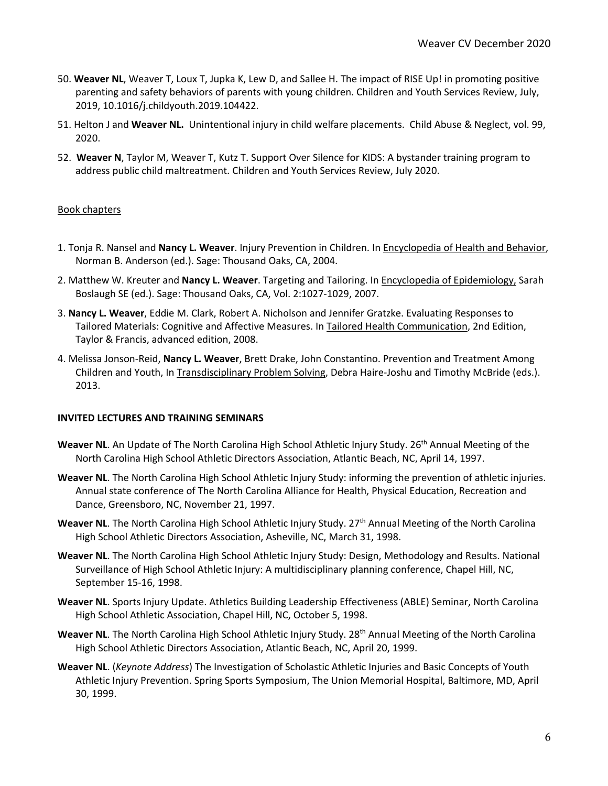- 50. **Weaver NL**, Weaver T, Loux T, Jupka K, Lew D, and Sallee H. The impact of RISE Up! in promoting positive parenting and safety behaviors of parents with young children. Children and Youth Services Review, July, 2019, 10.1016/j.childyouth.2019.104422.
- 51. Helton J and **Weaver NL.** Unintentional injury in child welfare placements. Child Abuse & Neglect, vol. 99, 2020.
- 52. **Weaver N**, Taylor M, Weaver T, Kutz T. Support Over Silence for KIDS: A bystander training program to address public child maltreatment. Children and Youth Services Review, July 2020.

## Book chapters

- 1. Tonja R. Nansel and **Nancy L. Weaver**. Injury Prevention in Children. In Encyclopedia of Health and Behavior, Norman B. Anderson (ed.). Sage: Thousand Oaks, CA, 2004.
- 2. Matthew W. Kreuter and **Nancy L. Weaver**. Targeting and Tailoring. In Encyclopedia of Epidemiology, Sarah Boslaugh SE (ed.). Sage: Thousand Oaks, CA, Vol. 2:1027-1029, 2007.
- 3. **Nancy L. Weaver**, Eddie M. Clark, Robert A. Nicholson and Jennifer Gratzke. Evaluating Responses to Tailored Materials: Cognitive and Affective Measures. In Tailored Health Communication, 2nd Edition, Taylor & Francis, advanced edition, 2008.
- 4. Melissa Jonson-Reid, **Nancy L. Weaver**, Brett Drake, John Constantino. Prevention and Treatment Among Children and Youth, In Transdisciplinary Problem Solving, Debra Haire-Joshu and Timothy McBride (eds.). 2013.

## **INVITED LECTURES AND TRAINING SEMINARS**

- **Weaver NL.** An Update of The North Carolina High School Athletic Injury Study. 26<sup>th</sup> Annual Meeting of the North Carolina High School Athletic Directors Association, Atlantic Beach, NC, April 14, 1997.
- **Weaver NL**. The North Carolina High School Athletic Injury Study: informing the prevention of athletic injuries. Annual state conference of The North Carolina Alliance for Health, Physical Education, Recreation and Dance, Greensboro, NC, November 21, 1997.
- Weaver NL. The North Carolina High School Athletic Injury Study. 27<sup>th</sup> Annual Meeting of the North Carolina High School Athletic Directors Association, Asheville, NC, March 31, 1998.
- **Weaver NL**. The North Carolina High School Athletic Injury Study: Design, Methodology and Results. National Surveillance of High School Athletic Injury: A multidisciplinary planning conference, Chapel Hill, NC, September 15-16, 1998.
- **Weaver NL**. Sports Injury Update. Athletics Building Leadership Effectiveness (ABLE) Seminar, North Carolina High School Athletic Association, Chapel Hill, NC, October 5, 1998.
- Weaver NL. The North Carolina High School Athletic Injury Study. 28<sup>th</sup> Annual Meeting of the North Carolina High School Athletic Directors Association, Atlantic Beach, NC, April 20, 1999.
- **Weaver NL**. (*Keynote Address*) The Investigation of Scholastic Athletic Injuries and Basic Concepts of Youth Athletic Injury Prevention. Spring Sports Symposium, The Union Memorial Hospital, Baltimore, MD, April 30, 1999.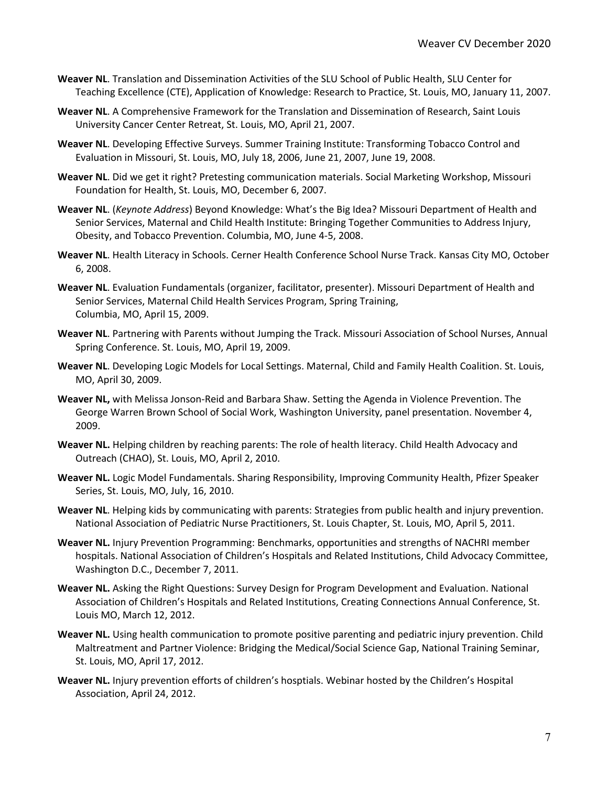- **Weaver NL**. Translation and Dissemination Activities of the SLU School of Public Health, SLU Center for Teaching Excellence (CTE), Application of Knowledge: Research to Practice, St. Louis, MO, January 11, 2007.
- **Weaver NL**. A Comprehensive Framework for the Translation and Dissemination of Research, Saint Louis University Cancer Center Retreat, St. Louis, MO, April 21, 2007.
- **Weaver NL**. Developing Effective Surveys. Summer Training Institute: Transforming Tobacco Control and Evaluation in Missouri, St. Louis, MO, July 18, 2006, June 21, 2007, June 19, 2008.
- **Weaver NL**. Did we get it right? Pretesting communication materials. Social Marketing Workshop, Missouri Foundation for Health, St. Louis, MO, December 6, 2007.
- **Weaver NL**. (*Keynote Address*) Beyond Knowledge: What's the Big Idea? Missouri Department of Health and Senior Services, Maternal and Child Health Institute: Bringing Together Communities to Address Injury, Obesity, and Tobacco Prevention. Columbia, MO, June 4-5, 2008.
- **Weaver NL**. Health Literacy in Schools. Cerner Health Conference School Nurse Track. Kansas City MO, October 6, 2008.
- **Weaver NL**. Evaluation Fundamentals (organizer, facilitator, presenter). Missouri Department of Health and Senior Services, Maternal Child Health Services Program, Spring Training, Columbia, MO, April 15, 2009.
- **Weaver NL**. Partnering with Parents without Jumping the Track. Missouri Association of School Nurses, Annual Spring Conference. St. Louis, MO, April 19, 2009.
- **Weaver NL**. Developing Logic Models for Local Settings. Maternal, Child and Family Health Coalition. St. Louis, MO, April 30, 2009.
- **Weaver NL,** with Melissa Jonson-Reid and Barbara Shaw. Setting the Agenda in Violence Prevention. The George Warren Brown School of Social Work, Washington University, panel presentation. November 4, 2009.
- **Weaver NL.** Helping children by reaching parents: The role of health literacy. Child Health Advocacy and Outreach (CHAO), St. Louis, MO, April 2, 2010.
- **Weaver NL.** Logic Model Fundamentals. Sharing Responsibility, Improving Community Health, Pfizer Speaker Series, St. Louis, MO, July, 16, 2010.
- **Weaver NL**. Helping kids by communicating with parents: Strategies from public health and injury prevention. National Association of Pediatric Nurse Practitioners, St. Louis Chapter, St. Louis, MO, April 5, 2011.
- **Weaver NL.** Injury Prevention Programming: Benchmarks, opportunities and strengths of NACHRI member hospitals. National Association of Children's Hospitals and Related Institutions, Child Advocacy Committee, Washington D.C., December 7, 2011.
- **Weaver NL.** Asking the Right Questions: Survey Design for Program Development and Evaluation. National Association of Children's Hospitals and Related Institutions, Creating Connections Annual Conference, St. Louis MO, March 12, 2012.
- **Weaver NL.** Using health communication to promote positive parenting and pediatric injury prevention. Child Maltreatment and Partner Violence: Bridging the Medical/Social Science Gap, National Training Seminar, St. Louis, MO, April 17, 2012.
- **Weaver NL.** Injury prevention efforts of children's hosptials. Webinar hosted by the Children's Hospital Association, April 24, 2012.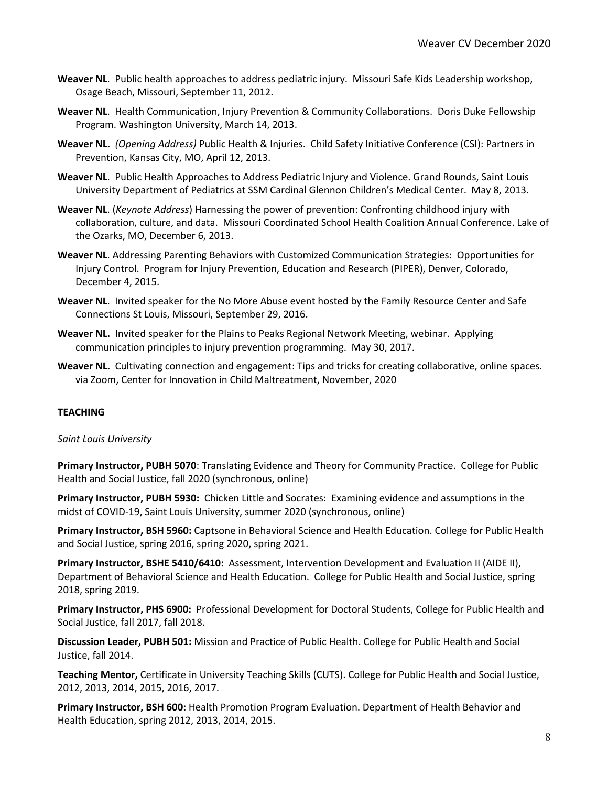- **Weaver NL**. Public health approaches to address pediatric injury. Missouri Safe Kids Leadership workshop, Osage Beach, Missouri, September 11, 2012.
- **Weaver NL**. Health Communication, Injury Prevention & Community Collaborations. Doris Duke Fellowship Program. Washington University, March 14, 2013.
- **Weaver NL.** *(Opening Address)* Public Health & Injuries. Child Safety Initiative Conference (CSI): Partners in Prevention, Kansas City, MO, April 12, 2013.
- **Weaver NL**. Public Health Approaches to Address Pediatric Injury and Violence. Grand Rounds, Saint Louis University Department of Pediatrics at SSM Cardinal Glennon Children's Medical Center. May 8, 2013.
- **Weaver NL**. (*Keynote Address*) Harnessing the power of prevention: Confronting childhood injury with collaboration, culture, and data. Missouri Coordinated School Health Coalition Annual Conference. Lake of the Ozarks, MO, December 6, 2013.
- **Weaver NL**. Addressing Parenting Behaviors with Customized Communication Strategies: Opportunities for Injury Control. Program for Injury Prevention, Education and Research (PIPER), Denver, Colorado, December 4, 2015.
- **Weaver NL**. Invited speaker for the No More Abuse event hosted by the Family Resource Center and Safe Connections St Louis, Missouri, September 29, 2016.
- **Weaver NL.** Invited speaker for the Plains to Peaks Regional Network Meeting, webinar. Applying communication principles to injury prevention programming. May 30, 2017.
- **Weaver NL.** Cultivating connection and engagement: Tips and tricks for creating collaborative, online spaces. via Zoom, Center for Innovation in Child Maltreatment, November, 2020

## **TEACHING**

#### *Saint Louis University*

**Primary Instructor, PUBH 5070**: Translating Evidence and Theory for Community Practice. College for Public Health and Social Justice, fall 2020 (synchronous, online)

**Primary Instructor, PUBH 5930:** Chicken Little and Socrates: Examining evidence and assumptions in the midst of COVID-19, Saint Louis University, summer 2020 (synchronous, online)

**Primary Instructor, BSH 5960:** Captsone in Behavioral Science and Health Education. College for Public Health and Social Justice, spring 2016, spring 2020, spring 2021.

**Primary Instructor, BSHE 5410/6410:** Assessment, Intervention Development and Evaluation II (AIDE II), Department of Behavioral Science and Health Education. College for Public Health and Social Justice, spring 2018, spring 2019.

**Primary Instructor, PHS 6900:** Professional Development for Doctoral Students, College for Public Health and Social Justice, fall 2017, fall 2018.

**Discussion Leader, PUBH 501:** Mission and Practice of Public Health. College for Public Health and Social Justice, fall 2014.

**Teaching Mentor,** Certificate in University Teaching Skills (CUTS). College for Public Health and Social Justice, 2012, 2013, 2014, 2015, 2016, 2017.

**Primary Instructor, BSH 600:** Health Promotion Program Evaluation. Department of Health Behavior and Health Education, spring 2012, 2013, 2014, 2015.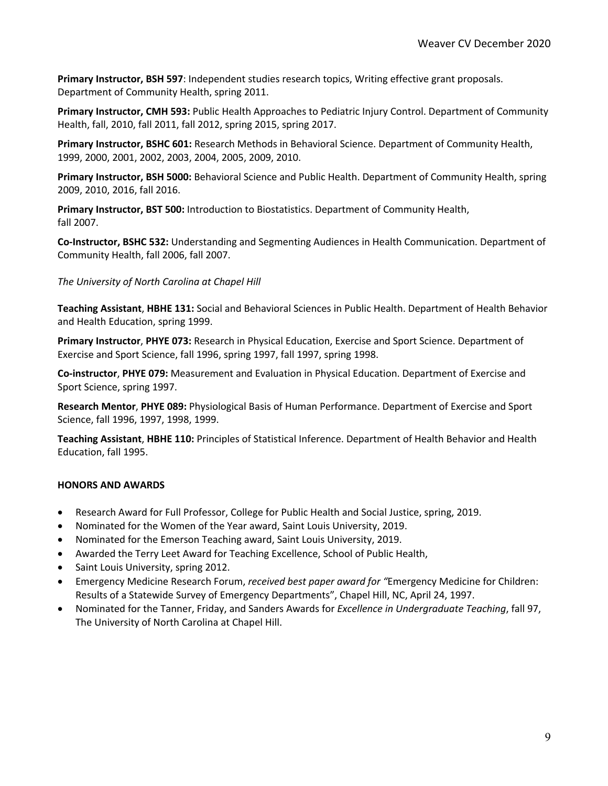**Primary Instructor, BSH 597**: Independent studies research topics, Writing effective grant proposals. Department of Community Health, spring 2011.

**Primary Instructor, CMH 593:** Public Health Approaches to Pediatric Injury Control. Department of Community Health, fall, 2010, fall 2011, fall 2012, spring 2015, spring 2017.

**Primary Instructor, BSHC 601:** Research Methods in Behavioral Science. Department of Community Health, 1999, 2000, 2001, 2002, 2003, 2004, 2005, 2009, 2010.

**Primary Instructor, BSH 5000:** Behavioral Science and Public Health. Department of Community Health, spring 2009, 2010, 2016, fall 2016.

**Primary Instructor, BST 500:** Introduction to Biostatistics. Department of Community Health, fall 2007.

**Co-Instructor, BSHC 532:** Understanding and Segmenting Audiences in Health Communication. Department of Community Health, fall 2006, fall 2007.

## *The University of North Carolina at Chapel Hill*

**Teaching Assistant**, **HBHE 131:** Social and Behavioral Sciences in Public Health. Department of Health Behavior and Health Education, spring 1999.

**Primary Instructor**, **PHYE 073:** Research in Physical Education, Exercise and Sport Science. Department of Exercise and Sport Science, fall 1996, spring 1997, fall 1997, spring 1998.

**Co-instructor**, **PHYE 079:** Measurement and Evaluation in Physical Education. Department of Exercise and Sport Science, spring 1997.

**Research Mentor**, **PHYE 089:** Physiological Basis of Human Performance. Department of Exercise and Sport Science, fall 1996, 1997, 1998, 1999.

**Teaching Assistant**, **HBHE 110:** Principles of Statistical Inference. Department of Health Behavior and Health Education, fall 1995.

## **HONORS AND AWARDS**

- Research Award for Full Professor, College for Public Health and Social Justice, spring, 2019.
- Nominated for the Women of the Year award, Saint Louis University, 2019.
- Nominated for the Emerson Teaching award, Saint Louis University, 2019.
- Awarded the Terry Leet Award for Teaching Excellence, School of Public Health,
- Saint Louis University, spring 2012.
- Emergency Medicine Research Forum, *received best paper award for "*Emergency Medicine for Children: Results of a Statewide Survey of Emergency Departments", Chapel Hill, NC, April 24, 1997.
- Nominated for the Tanner, Friday, and Sanders Awards for *Excellence in Undergraduate Teaching*, fall 97, The University of North Carolina at Chapel Hill.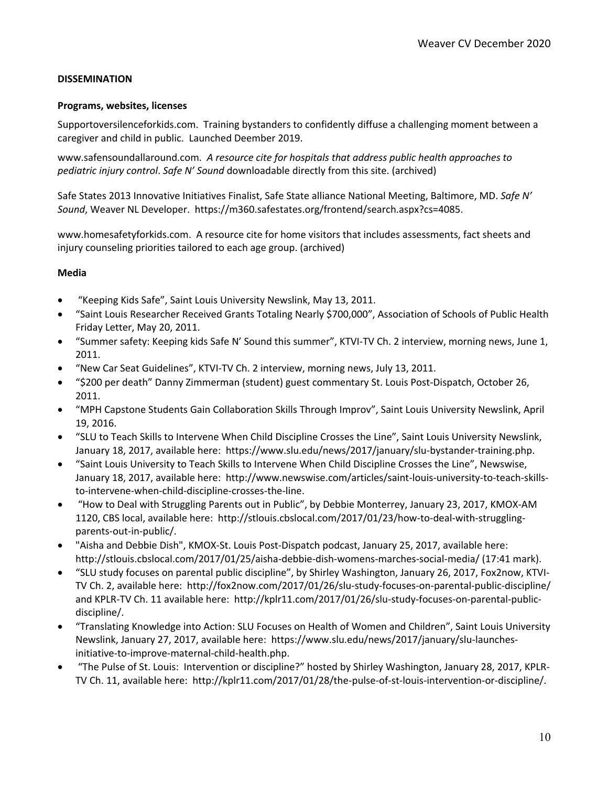## **DISSEMINATION**

## **Programs, websites, licenses**

Supportoversilenceforkids.com. Training bystanders to confidently diffuse a challenging moment between a caregiver and child in public. Launched Deember 2019.

www.safensoundallaround.com. *A resource cite for hospitals that address public health approaches to pediatric injury control*. *Safe N' Sound* downloadable directly from this site. (archived)

Safe States 2013 Innovative Initiatives Finalist, Safe State alliance National Meeting, Baltimore, MD. *Safe N' Sound*, Weaver NL Developer. https://m360.safestates.org/frontend/search.aspx?cs=4085.

www.homesafetyforkids.com. A resource cite for home visitors that includes assessments, fact sheets and injury counseling priorities tailored to each age group. (archived)

#### **Media**

- "Keeping Kids Safe", Saint Louis University Newslink, May 13, 2011.
- "Saint Louis Researcher Received Grants Totaling Nearly \$700,000", Association of Schools of Public Health Friday Letter, May 20, 2011.
- "Summer safety: Keeping kids Safe N' Sound this summer", KTVI-TV Ch. 2 interview, morning news, June 1, 2011.
- "New Car Seat Guidelines", KTVI-TV Ch. 2 interview, morning news, July 13, 2011.
- "\$200 per death" Danny Zimmerman (student) guest commentary St. Louis Post-Dispatch, October 26, 2011.
- "MPH Capstone Students Gain Collaboration Skills Through Improv", Saint Louis University Newslink, April 19, 2016.
- "SLU to Teach Skills to Intervene When Child Discipline Crosses the Line", Saint Louis University Newslink, January 18, 2017, available here: https://www.slu.edu/news/2017/january/slu-bystander-training.php.
- "Saint Louis University to Teach Skills to Intervene When Child Discipline Crosses the Line", Newswise, January 18, 2017, available here: http://www.newswise.com/articles/saint-louis-university-to-teach-skillsto-intervene-when-child-discipline-crosses-the-line.
- "How to Deal with Struggling Parents out in Public", by Debbie Monterrey, January 23, 2017, KMOX-AM 1120, CBS local, available here: http://stlouis.cbslocal.com/2017/01/23/how-to-deal-with-strugglingparents-out-in-public/.
- "Aisha and Debbie Dish", KMOX-St. Louis Post-Dispatch podcast, January 25, 2017, available here: http://stlouis.cbslocal.com/2017/01/25/aisha-debbie-dish-womens-marches-social-media/ (17:41 mark).
- "SLU study focuses on parental public discipline", by Shirley Washington, January 26, 2017, Fox2now, KTVI-TV Ch. 2, available here: http://fox2now.com/2017/01/26/slu-study-focuses-on-parental-public-discipline/ and KPLR-TV Ch. 11 available here: http://kplr11.com/2017/01/26/slu-study-focuses-on-parental-publicdiscipline/.
- "Translating Knowledge into Action: SLU Focuses on Health of Women and Children", Saint Louis University Newslink, January 27, 2017, available here: https://www.slu.edu/news/2017/january/slu-launchesinitiative-to-improve-maternal-child-health.php.
- "The Pulse of St. Louis: Intervention or discipline?" hosted by Shirley Washington, January 28, 2017, KPLR-TV Ch. 11, available here: http://kplr11.com/2017/01/28/the-pulse-of-st-louis-intervention-or-discipline/.